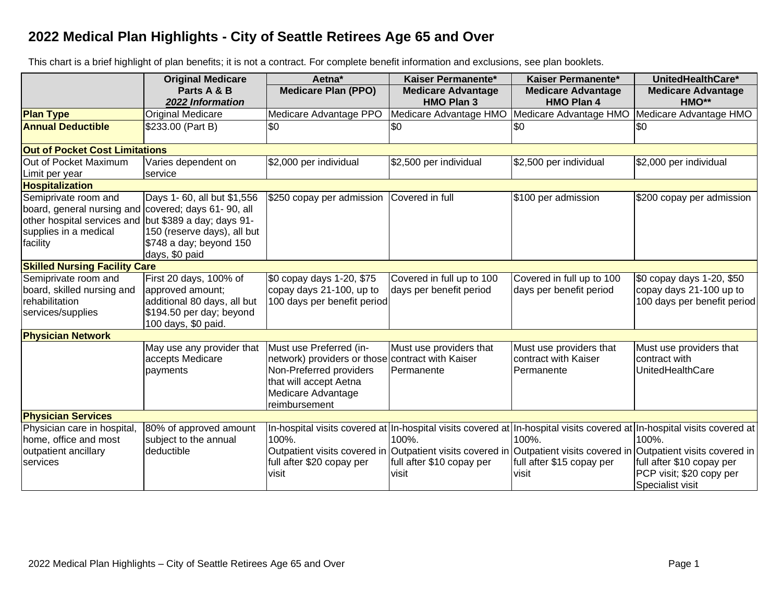## **2022 Medical Plan Highlights - City of Seattle Retirees Age 65 and Over**

This chart is a brief highlight of plan benefits; it is not a contract. For complete benefit information and exclusions, see plan booklets.

|                                                                                                                                                 | <b>Original Medicare</b>                                                                                                             | Aetna*                                                                                                                                                                  | Kaiser Permanente*                                   | Kaiser Permanente*                                            | UnitedHealthCare*                                                                                                                                                                                                                                                                                                                    |  |  |
|-------------------------------------------------------------------------------------------------------------------------------------------------|--------------------------------------------------------------------------------------------------------------------------------------|-------------------------------------------------------------------------------------------------------------------------------------------------------------------------|------------------------------------------------------|---------------------------------------------------------------|--------------------------------------------------------------------------------------------------------------------------------------------------------------------------------------------------------------------------------------------------------------------------------------------------------------------------------------|--|--|
|                                                                                                                                                 | Parts A & B<br>2022 Information                                                                                                      | <b>Medicare Plan (PPO)</b>                                                                                                                                              | <b>Medicare Advantage</b><br><b>HMO Plan 3</b>       | <b>Medicare Advantage</b><br><b>HMO Plan 4</b>                | <b>Medicare Advantage</b><br>HMO**                                                                                                                                                                                                                                                                                                   |  |  |
| <b>Plan Type</b>                                                                                                                                | Original Medicare                                                                                                                    | Medicare Advantage PPO                                                                                                                                                  | Medicare Advantage HMO                               | Medicare Advantage HMO                                        | Medicare Advantage HMO                                                                                                                                                                                                                                                                                                               |  |  |
| <b>Annual Deductible</b>                                                                                                                        | \$233.00 (Part B)                                                                                                                    | \$0                                                                                                                                                                     | \$0                                                  | \$0                                                           | \$0                                                                                                                                                                                                                                                                                                                                  |  |  |
|                                                                                                                                                 | <b>Out of Pocket Cost Limitations</b>                                                                                                |                                                                                                                                                                         |                                                      |                                                               |                                                                                                                                                                                                                                                                                                                                      |  |  |
| Out of Pocket Maximum<br>Limit per year                                                                                                         | Varies dependent on<br>service                                                                                                       | \$2,000 per individual                                                                                                                                                  | \$2,500 per individual                               | \$2,500 per individual                                        | \$2,000 per individual                                                                                                                                                                                                                                                                                                               |  |  |
| Hospitalization                                                                                                                                 |                                                                                                                                      |                                                                                                                                                                         |                                                      |                                                               |                                                                                                                                                                                                                                                                                                                                      |  |  |
| Semiprivate room and<br>board, general nursing and covered; days 61-90, all<br>other hospital services and<br>supplies in a medical<br>facility | Days 1- 60, all but \$1,556<br>but \$389 a day; days 91-<br>150 (reserve days), all but<br>\$748 a day; beyond 150<br>days, \$0 paid | \$250 copay per admission                                                                                                                                               | Covered in full                                      | \$100 per admission                                           | \$200 copay per admission                                                                                                                                                                                                                                                                                                            |  |  |
| <b>Skilled Nursing Facility Care</b>                                                                                                            |                                                                                                                                      |                                                                                                                                                                         |                                                      |                                                               |                                                                                                                                                                                                                                                                                                                                      |  |  |
| Semiprivate room and<br>board, skilled nursing and<br>rehabilitation<br>services/supplies                                                       | First 20 days, 100% of<br>approved amount;<br>additional 80 days, all but<br>\$194.50 per day; beyond<br>100 days, \$0 paid.         | \$0 copay days 1-20, \$75<br>copay days 21-100, up to<br>100 days per benefit period                                                                                    | Covered in full up to 100<br>days per benefit period | Covered in full up to 100<br>days per benefit period          | \$0 copay days 1-20, \$50<br>copay days 21-100 up to<br>100 days per benefit period                                                                                                                                                                                                                                                  |  |  |
| <b>Physician Network</b>                                                                                                                        |                                                                                                                                      |                                                                                                                                                                         |                                                      |                                                               |                                                                                                                                                                                                                                                                                                                                      |  |  |
|                                                                                                                                                 | May use any provider that<br>accepts Medicare<br>payments                                                                            | Must use Preferred (in-<br>network) providers or those contract with Kaiser<br>Non-Preferred providers<br>that will accept Aetna<br>Medicare Advantage<br>reimbursement | Must use providers that<br>Permanente                | Must use providers that<br>contract with Kaiser<br>Permanente | Must use providers that<br>contract with<br>UnitedHealthCare                                                                                                                                                                                                                                                                         |  |  |
| <b>Physician Services</b>                                                                                                                       |                                                                                                                                      |                                                                                                                                                                         |                                                      |                                                               |                                                                                                                                                                                                                                                                                                                                      |  |  |
| Physician care in hospital,<br>home, office and most<br>outpatient ancillary<br>services                                                        | 80% of approved amount<br>subject to the annual<br>deductible                                                                        | 100%.<br>full after \$20 copay per<br>visit                                                                                                                             | 100%.<br>full after \$10 copay per<br>visit          | 100%.<br>full after \$15 copay per<br>visit                   | In-hospital visits covered at In-hospital visits covered at In-hospital visits covered at In-hospital visits covered at<br>100%.<br>Outpatient visits covered in Outpatient visits covered in Outpatient visits covered in Outpatient visits covered in<br>full after \$10 copay per<br>PCP visit; \$20 copy per<br>Specialist visit |  |  |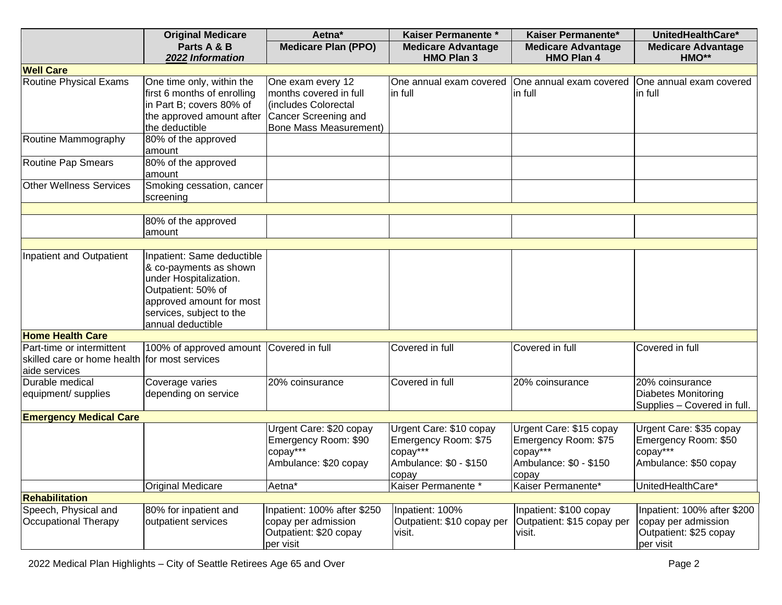|                                               | <b>Original Medicare</b>                       | Aetna*                        | Kaiser Permanente *                               | Kaiser Permanente*         | UnitedHealthCare*           |  |
|-----------------------------------------------|------------------------------------------------|-------------------------------|---------------------------------------------------|----------------------------|-----------------------------|--|
|                                               | Parts A & B                                    | <b>Medicare Plan (PPO)</b>    | <b>Medicare Advantage</b>                         | <b>Medicare Advantage</b>  | <b>Medicare Advantage</b>   |  |
|                                               | 2022 Information                               |                               | <b>HMO Plan 3</b>                                 | <b>HMO Plan 4</b>          | HMO**                       |  |
| <b>Well Care</b>                              |                                                |                               |                                                   |                            |                             |  |
| <b>Routine Physical Exams</b>                 | One time only, within the                      | One exam every 12             | One annual exam covered   One annual exam covered |                            | One annual exam covered     |  |
|                                               | first 6 months of enrolling                    | months covered in full        | in full                                           | in full                    | in full                     |  |
|                                               | in Part B; covers 80% of                       | includes Colorectal           |                                                   |                            |                             |  |
|                                               | the approved amount after Cancer Screening and |                               |                                                   |                            |                             |  |
|                                               | the deductible                                 | <b>Bone Mass Measurement)</b> |                                                   |                            |                             |  |
| Routine Mammography                           | 80% of the approved                            |                               |                                                   |                            |                             |  |
|                                               | amount                                         |                               |                                                   |                            |                             |  |
| <b>Routine Pap Smears</b>                     | 80% of the approved                            |                               |                                                   |                            |                             |  |
|                                               | amount                                         |                               |                                                   |                            |                             |  |
| <b>Other Wellness Services</b>                | Smoking cessation, cancer                      |                               |                                                   |                            |                             |  |
|                                               | screening                                      |                               |                                                   |                            |                             |  |
|                                               |                                                |                               |                                                   |                            |                             |  |
|                                               | 80% of the approved                            |                               |                                                   |                            |                             |  |
|                                               | amount                                         |                               |                                                   |                            |                             |  |
| Inpatient and Outpatient                      | Inpatient: Same deductible                     |                               |                                                   |                            |                             |  |
|                                               | & co-payments as shown                         |                               |                                                   |                            |                             |  |
|                                               | under Hospitalization.                         |                               |                                                   |                            |                             |  |
|                                               | Outpatient: 50% of                             |                               |                                                   |                            |                             |  |
|                                               | approved amount for most                       |                               |                                                   |                            |                             |  |
|                                               | services, subject to the                       |                               |                                                   |                            |                             |  |
|                                               | annual deductible                              |                               |                                                   |                            |                             |  |
| <b>Home Health Care</b>                       |                                                |                               |                                                   |                            |                             |  |
| Part-time or intermittent                     | 100% of approved amount Covered in full        |                               | Covered in full                                   | Covered in full            | Covered in full             |  |
| skilled care or home health for most services |                                                |                               |                                                   |                            |                             |  |
| aide services                                 |                                                |                               |                                                   |                            |                             |  |
| Durable medical                               | Coverage varies                                | 20% coinsurance               | Covered in full                                   | 20% coinsurance            | 20% coinsurance             |  |
| equipment/ supplies                           | depending on service                           |                               |                                                   |                            | Diabetes Monitoring         |  |
|                                               |                                                |                               |                                                   |                            | Supplies - Covered in full. |  |
| <b>Emergency Medical Care</b>                 |                                                |                               |                                                   |                            |                             |  |
|                                               |                                                | Urgent Care: \$20 copay       | Urgent Care: \$10 copay                           | Urgent Care: \$15 copay    | Urgent Care: \$35 copay     |  |
|                                               |                                                | Emergency Room: \$90          | Emergency Room: \$75                              | Emergency Room: \$75       | Emergency Room: \$50        |  |
|                                               |                                                | copay***                      | copay***                                          | copay***                   | copay***                    |  |
|                                               |                                                | Ambulance: \$20 copay         | Ambulance: \$0 - \$150                            | Ambulance: \$0 - \$150     | Ambulance: \$50 copay       |  |
|                                               |                                                |                               | copay                                             | copay                      |                             |  |
|                                               | <b>Original Medicare</b>                       | Aetna*                        | Kaiser Permanente *                               | Kaiser Permanente*         | UnitedHealthCare*           |  |
| <b>Rehabilitation</b>                         |                                                |                               |                                                   |                            |                             |  |
| Speech, Physical and                          | 80% for inpatient and                          | Inpatient: 100% after \$250   | Inpatient: 100%                                   | Inpatient: \$100 copay     | Inpatient: 100% after \$200 |  |
| <b>Occupational Therapy</b>                   | outpatient services                            | copay per admission           | Outpatient: \$10 copay per                        | Outpatient: \$15 copay per | copay per admission         |  |
|                                               |                                                | Outpatient: \$20 copay        | visit.                                            | visit.                     | Outpatient: \$25 copay      |  |
|                                               |                                                | per visit                     |                                                   |                            | per visit                   |  |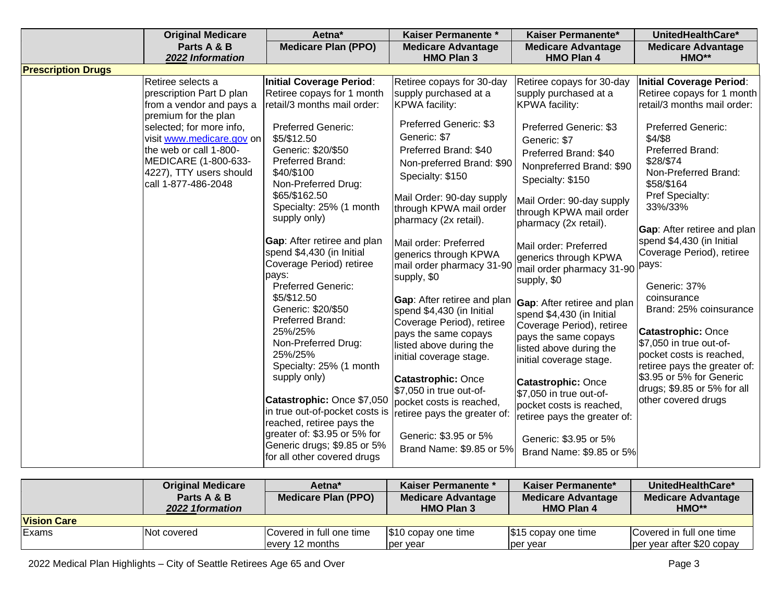|                           | <b>Original Medicare</b>                         | Aetna*                                                   | Kaiser Permanente *                                | Kaiser Permanente*                                       | UnitedHealthCare*                                      |
|---------------------------|--------------------------------------------------|----------------------------------------------------------|----------------------------------------------------|----------------------------------------------------------|--------------------------------------------------------|
|                           | Parts A & B                                      | <b>Medicare Plan (PPO)</b>                               | <b>Medicare Advantage</b>                          | <b>Medicare Advantage</b>                                | <b>Medicare Advantage</b>                              |
|                           | 2022 Information                                 |                                                          | <b>HMO Plan 3</b>                                  | <b>HMO Plan 4</b>                                        | HMO**                                                  |
| <b>Prescription Drugs</b> |                                                  |                                                          |                                                    |                                                          |                                                        |
|                           | Retiree selects a                                | <b>Initial Coverage Period:</b>                          | Retiree copays for 30-day                          | Retiree copays for 30-day                                | <b>Initial Coverage Period:</b>                        |
|                           | prescription Part D plan                         | Retiree copays for 1 month                               | supply purchased at a                              | supply purchased at a                                    | Retiree copays for 1 month                             |
|                           | from a vendor and pays a                         | retail/3 months mail order:                              | <b>KPWA</b> facility:                              | <b>KPWA</b> facility:                                    | retail/3 months mail order:                            |
|                           | premium for the plan<br>selected; for more info, | <b>Preferred Generic:</b>                                | Preferred Generic: \$3                             | <b>Preferred Generic: \$3</b>                            | <b>Preferred Generic:</b>                              |
|                           | visit www.medicare.gov on                        | \$5/\$12.50                                              | Generic: \$7                                       | Generic: \$7                                             | \$4/\$8                                                |
|                           | the web or call 1-800-                           | Generic: \$20/\$50                                       | Preferred Brand: \$40                              |                                                          | Preferred Brand:                                       |
|                           | MEDICARE (1-800-633-                             | Preferred Brand:                                         | Non-preferred Brand: \$90                          | Preferred Brand: \$40                                    | \$28/\$74                                              |
|                           | 4227), TTY users should                          | \$40/\$100                                               | Specialty: \$150                                   | Nonpreferred Brand: \$90                                 | Non-Preferred Brand:                                   |
|                           | call 1-877-486-2048                              | Non-Preferred Drug:                                      |                                                    | Specialty: \$150                                         | \$58/\$164                                             |
|                           |                                                  | \$65/\$162.50                                            | Mail Order: 90-day supply                          | Mail Order: 90-day supply                                | Pref Specialty:                                        |
|                           |                                                  | Specialty: 25% (1 month                                  | through KPWA mail order                            | through KPWA mail order                                  | 33%/33%                                                |
|                           |                                                  | supply only)                                             | pharmacy (2x retail).                              | pharmacy (2x retail).                                    |                                                        |
|                           |                                                  |                                                          |                                                    |                                                          | Gap: After retiree and plan                            |
|                           |                                                  | Gap: After retiree and plan<br>spend \$4,430 (in Initial | Mail order: Preferred                              | Mail order: Preferred                                    | spend \$4,430 (in Initial<br>Coverage Period), retiree |
|                           |                                                  | Coverage Period) retiree                                 | generics through KPWA<br>mail order pharmacy 31-90 | generics through KPWA                                    | pays:                                                  |
|                           |                                                  | pays:                                                    | supply, \$0                                        | mail order pharmacy 31-90                                |                                                        |
|                           |                                                  | Preferred Generic:                                       |                                                    | supply, \$0                                              | Generic: 37%                                           |
|                           |                                                  | \$5/\$12.50                                              | Gap: After retiree and plan                        | <b>Gap:</b> After retiree and plan                       | coinsurance                                            |
|                           |                                                  | Generic: \$20/\$50                                       | spend \$4,430 (in Initial                          | spend \$4,430 (in Initial                                | Brand: 25% coinsurance                                 |
|                           |                                                  | Preferred Brand:                                         | Coverage Period), retiree                          | Coverage Period), retiree                                |                                                        |
|                           |                                                  | 25%/25%                                                  | pays the same copays                               | pays the same copays                                     | <b>Catastrophic: Once</b>                              |
|                           |                                                  | Non-Preferred Drug:<br>25%/25%                           | listed above during the                            | listed above during the                                  | \$7,050 in true out-of-<br>pocket costs is reached,    |
|                           |                                                  | Specialty: 25% (1 month                                  | initial coverage stage.                            | initial coverage stage.                                  | retiree pays the greater of:                           |
|                           |                                                  | supply only)                                             | <b>Catastrophic: Once</b>                          |                                                          | \$3.95 or 5% for Generic                               |
|                           |                                                  |                                                          | \$7,050 in true out-of-                            | <b>Catastrophic: Once</b>                                | drugs; \$9.85 or 5% for all                            |
|                           |                                                  | Catastrophic: Once \$7,050                               | pocket costs is reached,                           | \$7,050 in true out-of-                                  | other covered drugs                                    |
|                           |                                                  | in true out-of-pocket costs is                           | retiree pays the greater of:                       | pocket costs is reached,<br>retiree pays the greater of: |                                                        |
|                           |                                                  | reached, retiree pays the                                |                                                    |                                                          |                                                        |
|                           |                                                  | greater of: \$3.95 or 5% for                             | Generic: \$3.95 or 5%                              | Generic: \$3.95 or 5%                                    |                                                        |
|                           |                                                  | Generic drugs; \$9.85 or 5%                              | Brand Name: \$9.85 or 5%                           | Brand Name: \$9.85 or 5%                                 |                                                        |
|                           |                                                  | for all other covered drugs                              |                                                    |                                                          |                                                        |

|                    | <b>Original Medicare</b><br>Parts A & B<br>2022 1 formation | Aetna <sup>*</sup><br><b>Medicare Plan (PPO)</b> | <b>Kaiser Permanente *</b><br><b>Medicare Advantage</b><br>HMO Plan 3 | <b>Kaiser Permanente*</b><br><b>Medicare Advantage</b><br>HMO Plan 4 | UnitedHealthCare*<br><b>Medicare Advantage</b><br>HMO** |  |
|--------------------|-------------------------------------------------------------|--------------------------------------------------|-----------------------------------------------------------------------|----------------------------------------------------------------------|---------------------------------------------------------|--|
| <b>Vision Care</b> |                                                             |                                                  |                                                                       |                                                                      |                                                         |  |
| Exams              | Not covered                                                 | Covered in full one time<br>levery 12 months     | $\frac{1}{3}10$ copay one time<br>lper vear                           | $\$15$ copay one time<br>per vear                                    | Covered in full one time<br>per year after \$20 copay   |  |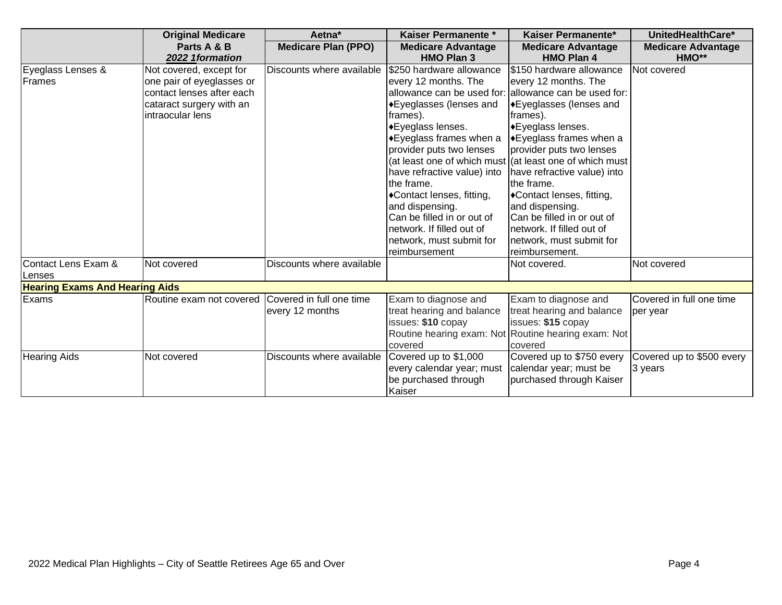|                                       | <b>Original Medicare</b>  | Aetna*                     | Kaiser Permanente *         | Kaiser Permanente*                                       | UnitedHealthCare*         |  |  |
|---------------------------------------|---------------------------|----------------------------|-----------------------------|----------------------------------------------------------|---------------------------|--|--|
|                                       | Parts A & B               | <b>Medicare Plan (PPO)</b> | <b>Medicare Advantage</b>   | <b>Medicare Advantage</b>                                | <b>Medicare Advantage</b> |  |  |
|                                       | 2022 1formation           |                            | <b>HMO Plan 3</b>           | <b>HMO Plan 4</b>                                        | HMO**                     |  |  |
| Eyeglass Lenses &                     | Not covered, except for   | Discounts where available  | \$250 hardware allowance    | I\$150 hardware allowance                                | Not covered               |  |  |
| Frames                                | one pair of eyeglasses or |                            | every 12 months. The        | every 12 months. The                                     |                           |  |  |
|                                       | contact lenses after each |                            | allowance can be used for:  | allowance can be used for:                               |                           |  |  |
|                                       | cataract surgery with an  |                            | ◆Eyeglasses (lenses and     | ◆Eyeglasses (lenses and                                  |                           |  |  |
|                                       | intraocular lens          |                            | frames).                    | frames).                                                 |                           |  |  |
|                                       |                           |                            | ◆Eyeglass lenses.           | ◆Eyeglass lenses.                                        |                           |  |  |
|                                       |                           |                            | ◆Eyeglass frames when a     | <b>Eyeglass frames when a</b>                            |                           |  |  |
|                                       |                           |                            | provider puts two lenses    | provider puts two lenses                                 |                           |  |  |
|                                       |                           |                            |                             | (at least one of which must (at least one of which must) |                           |  |  |
|                                       |                           |                            | have refractive value) into | have refractive value) into                              |                           |  |  |
|                                       |                           |                            | the frame.                  | lthe frame.                                              |                           |  |  |
|                                       |                           |                            | ◆Contact lenses, fitting,   | ◆Contact lenses, fitting,                                |                           |  |  |
|                                       |                           |                            | and dispensing.             | and dispensing.                                          |                           |  |  |
|                                       |                           |                            | Can be filled in or out of  | Can be filled in or out of                               |                           |  |  |
|                                       |                           |                            | network. If filled out of   | network. If filled out of                                |                           |  |  |
|                                       |                           |                            | network, must submit for    | network, must submit for                                 |                           |  |  |
|                                       |                           |                            | reimbursement               | reimbursement.                                           |                           |  |  |
| Contact Lens Exam &                   | Not covered               | Discounts where available  |                             | Not covered.                                             | Not covered               |  |  |
| Lenses                                |                           |                            |                             |                                                          |                           |  |  |
| <b>Hearing Exams And Hearing Aids</b> |                           |                            |                             |                                                          |                           |  |  |
| Exams                                 | Routine exam not covered  | Covered in full one time   | Exam to diagnose and        | Exam to diagnose and                                     | Covered in full one time  |  |  |
|                                       |                           | every 12 months            | treat hearing and balance   | treat hearing and balance                                | per year                  |  |  |
|                                       |                           |                            | issues: \$10 copay          | issues: \$15 copay                                       |                           |  |  |
|                                       |                           |                            |                             | Routine hearing exam: Not Routine hearing exam: Not      |                           |  |  |
|                                       |                           |                            | covered                     | covered                                                  |                           |  |  |
| <b>Hearing Aids</b>                   | Not covered               | Discounts where available  | Covered up to \$1,000       | Covered up to \$750 every                                | Covered up to \$500 every |  |  |
|                                       |                           |                            | every calendar year; must   | calendar year; must be                                   | 3 years                   |  |  |
|                                       |                           |                            | be purchased through        | purchased through Kaiser                                 |                           |  |  |
|                                       |                           |                            | Kaiser                      |                                                          |                           |  |  |